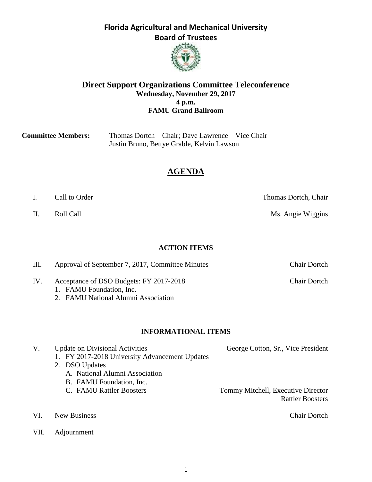# **Board of Trustees**

**Florida Agricultural and Mechanical University** 



#### **Direct Support Organizations Committee Teleconference Wednesday, November 29, 2017 4 p.m. FAMU Grand Ballroom**

| <b>Committee Members:</b> | Thomas Dortch – Chair; Dave Lawrence – Vice Chair |
|---------------------------|---------------------------------------------------|
|                           | Justin Bruno, Bettye Grable, Kelvin Lawson        |

## **AGENDA**

- I. Call to Order Thomas Dortch, Chair
- 

II. Roll Call **Call Call** Ms. Angie Wiggins

#### **ACTION ITEMS**

III. Approval of September 7, 2017, Committee Minutes Chair Dortch

- IV. Acceptance of DSO Budgets: FY 2017-2018 Chair Dortch 1. FAMU Foundation, Inc.
	- 2. FAMU National Alumni Association

#### **INFORMATIONAL ITEMS**

| V.  | <b>Update on Divisional Activities</b><br>1. FY 2017-2018 University Advancement Updates<br>2. DSO Updates<br>A. National Alumni Association<br>B. FAMU Foundation, Inc. | George Cotton, Sr., Vice President                            |
|-----|--------------------------------------------------------------------------------------------------------------------------------------------------------------------------|---------------------------------------------------------------|
|     | C. FAMU Rattler Boosters                                                                                                                                                 | Tommy Mitchell, Executive Director<br><b>Rattler Boosters</b> |
| VI. | New Business                                                                                                                                                             | <b>Chair Dortch</b>                                           |

VII. Adjournment

1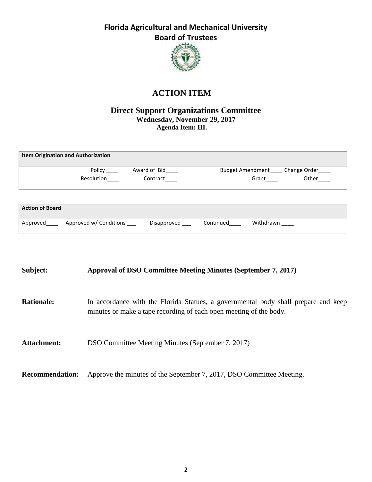

## **ACTION ITEM**

#### **Direct Support Organizations Committee Wednesday, November 29, 2017 Agenda Item: III.**

|                        | <b>Item Origination and Authorization</b> |              |           |                         |              |
|------------------------|-------------------------------------------|--------------|-----------|-------------------------|--------------|
|                        | Policy                                    | Award of Bid |           | <b>Budget Amendment</b> | Change Order |
|                        | Resolution                                | Contract     |           | Grant                   | Other        |
|                        |                                           |              |           |                         |              |
|                        |                                           |              |           |                         |              |
| <b>Action of Board</b> |                                           |              |           |                         |              |
| Approved               | Approved w/ Conditions                    | Disapproved  | Continued | Withdrawn               |              |

| Subject:               | Approval of DSO Committee Meeting Minutes (September 7, 2017)                                                                                            |
|------------------------|----------------------------------------------------------------------------------------------------------------------------------------------------------|
| <b>Rationale:</b>      | In accordance with the Florida Statues, a governmental body shall prepare and keep<br>minutes or make a tape recording of each open meeting of the body. |
| Attachment:            | DSO Committee Meeting Minutes (September 7, 2017)                                                                                                        |
| <b>Recommendation:</b> | Approve the minutes of the September 7, 2017, DSO Committee Meeting.                                                                                     |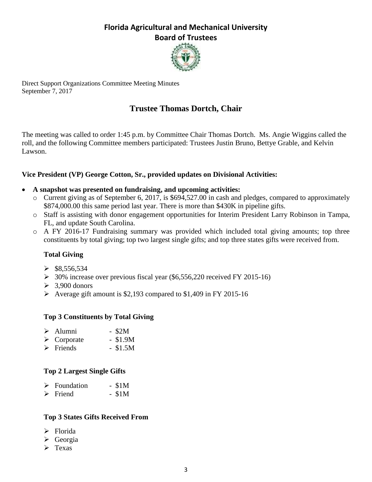

Direct Support Organizations Committee Meeting Minutes September 7, 2017

## **Trustee Thomas Dortch, Chair**

The meeting was called to order 1:45 p.m. by Committee Chair Thomas Dortch. Ms. Angie Wiggins called the roll, and the following Committee members participated: Trustees Justin Bruno, Bettye Grable, and Kelvin Lawson.

#### **Vice President (VP) George Cotton, Sr., provided updates on Divisional Activities:**

#### **A snapshot was presented on fundraising, and upcoming activities:**

- o Current giving as of September 6, 2017, is \$694,527.00 in cash and pledges, compared to approximately \$874,000.00 this same period last year. There is more than \$430K in pipeline gifts.
- o Staff is assisting with donor engagement opportunities for Interim President Larry Robinson in Tampa, FL, and update South Carolina.
- o A FY 2016-17 Fundraising summary was provided which included total giving amounts; top three constituents by total giving; top two largest single gifts; and top three states gifts were received from.

#### **Total Giving**

- $\triangleright$  \$8,556,534
- $\geq$  30% increase over previous fiscal year (\$6,556,220 received FY 2015-16)
- $\geq 3.900$  donors
- $\triangleright$  Average gift amount is \$2,193 compared to \$1,409 in FY 2015-16

#### **Top 3 Constituents by Total Giving**

| $\triangleright$ Alumni    | $-$ \$2M  |
|----------------------------|-----------|
| $\triangleright$ Corporate | $- $1.9M$ |
| $\sim$ m $\sim$ 1          | $A + F$   |

## $\triangleright$  Friends - \$1.5M

#### **Top 2 Largest Single Gifts**

| $\triangleright$ Foundation | $-$ \$1M |
|-----------------------------|----------|
|                             |          |

 $\triangleright$  Friend - \$1M

#### **Top 3 States Gifts Received From**

- $\triangleright$  Florida
- $\triangleright$  Georgia
- $\triangleright$  Texas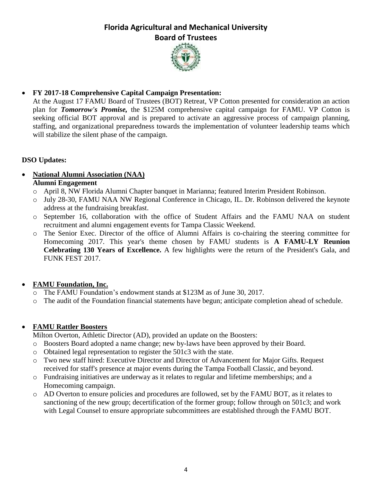

#### **FY 2017-18 Comprehensive Capital Campaign Presentation:**

At the August 17 FAMU Board of Trustees (BOT) Retreat, VP Cotton presented for consideration an action plan for *Tomorrow's Promise,* the \$125M comprehensive capital campaign for FAMU. VP Cotton is seeking official BOT approval and is prepared to activate an aggressive process of campaign planning, staffing, and organizational preparedness towards the implementation of volunteer leadership teams which will stabilize the silent phase of the campaign.

#### **DSO Updates:**

#### **National Alumni Association (NAA) Alumni Engagement**

- o April 8, NW Florida Alumni Chapter banquet in Marianna; featured Interim President Robinson.
- o July 28-30, FAMU NAA NW Regional Conference in Chicago, IL. Dr. Robinson delivered the keynote address at the fundraising breakfast.
- o September 16, collaboration with the office of Student Affairs and the FAMU NAA on student recruitment and alumni engagement events for Tampa Classic Weekend.
- o The Senior Exec. Director of the office of Alumni Affairs is co-chairing the steering committee for Homecoming 2017. This year's theme chosen by FAMU students is **A FAMU-LY Reunion Celebrating 130 Years of Excellence.** A few highlights were the return of the President's Gala, and FUNK FEST 2017.

#### **FAMU Foundation, Inc.**

- o The FAMU Foundation's endowment stands at \$123M as of June 30, 2017.
- o The audit of the Foundation financial statements have begun; anticipate completion ahead of schedule.

#### **FAMU Rattler Boosters**

Milton Overton, Athletic Director (AD), provided an update on the Boosters:

- o Boosters Board adopted a name change; new by-laws have been approved by their Board.
- o Obtained legal representation to register the 501c3 with the state.
- o Two new staff hired: Executive Director and Director of Advancement for Major Gifts. Request received for staff's presence at major events during the Tampa Football Classic, and beyond.
- o Fundraising initiatives are underway as it relates to regular and lifetime memberships; and a Homecoming campaign.
- o AD Overton to ensure policies and procedures are followed, set by the FAMU BOT, as it relates to sanctioning of the new group; decertification of the former group; follow through on 501c3; and work with Legal Counsel to ensure appropriate subcommittees are established through the FAMU BOT.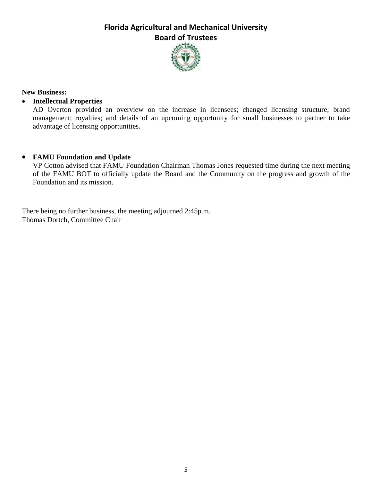

#### **New Business:**

#### **Intellectual Properties**

AD Overton provided an overview on the increase in licensees; changed licensing structure; brand management; royalties; and details of an upcoming opportunity for small businesses to partner to take advantage of licensing opportunities.

#### **FAMU Foundation and Update**

VP Cotton advised that FAMU Foundation Chairman Thomas Jones requested time during the next meeting of the FAMU BOT to officially update the Board and the Community on the progress and growth of the Foundation and its mission.

There being no further business, the meeting adjourned 2:45p.m. Thomas Dortch, Committee Chair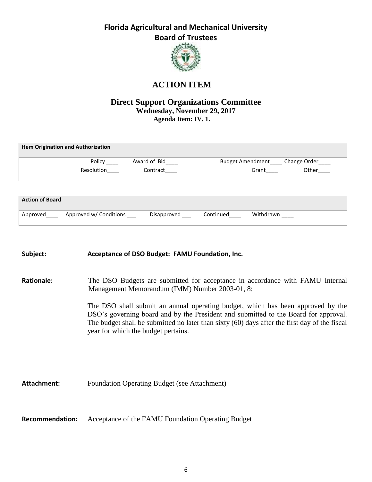

## **ACTION ITEM**

#### **Direct Support Organizations Committee Wednesday, November 29, 2017 Agenda Item: IV. 1.**

|                        | <b>Item Origination and Authorization</b> |              |           |                                        |       |
|------------------------|-------------------------------------------|--------------|-----------|----------------------------------------|-------|
|                        | Policy                                    | Award of Bid |           | Budget Amendment_____ Change Order____ |       |
|                        | Resolution                                | Contract     |           | Grant                                  | Other |
|                        |                                           |              |           |                                        |       |
| <b>Action of Board</b> |                                           |              |           |                                        |       |
| Approved               | Approved w/ Conditions                    | Disapproved  | Continued | Withdrawn                              |       |

# **Subject: Acceptance of DSO Budget: FAMU Foundation, Inc. Rationale:** The DSO Budgets are submitted for acceptance in accordance with FAMU Internal Management Memorandum (IMM) Number 2003-01, 8: The DSO shall submit an annual operating budget, which has been approved by the DSO's governing board and by the President and submitted to the Board for approval. The budget shall be submitted no later than sixty (60) days after the first day of the fiscal year for which the budget pertains. Attachment: Foundation Operating Budget (see Attachment)

**Recommendation:** Acceptance of the FAMU Foundation Operating Budget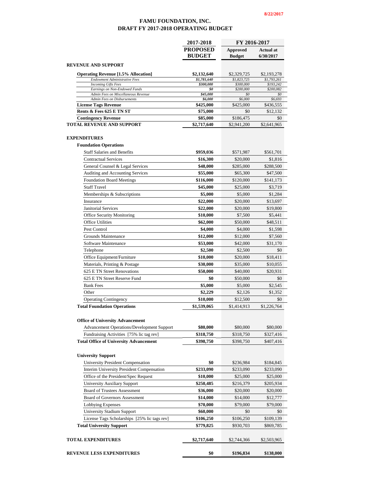#### **FAMU FOUNDATION, INC. DRAFT FY 2017-2018 OPERATING BUDGET**

|                                                                      | 2017-2018                        | FY 2016-2017                     |                               |  |
|----------------------------------------------------------------------|----------------------------------|----------------------------------|-------------------------------|--|
|                                                                      | <b>PROPOSED</b><br><b>BUDGET</b> | <b>Approved</b><br><b>Budget</b> | <b>Actual at</b><br>6/30/2017 |  |
| <b>REVENUE AND SUPPORT</b>                                           |                                  |                                  |                               |  |
| <b>Operating Revenue [1.5% Allocation]</b>                           | \$2,132,640                      | \$2,329,725                      | \$2,193,278                   |  |
| <b>Endowment Administrative Fees</b>                                 | \$1,781,640                      | \$1,823,725                      | \$1,793,261                   |  |
| <b>Incoming Gifts Fees</b>                                           | \$300,000                        | \$300,000                        | \$193,242                     |  |
| Earnings on Non-Endowed Funds<br>Admin Fees on Miscellaneous Revenue | \$0<br>\$45,000                  | \$200,000<br>\$0                 | \$200,082<br>\$0              |  |
| <b>Admin Fees on Disbursements</b>                                   | \$6,000                          | \$6,000                          | \$6,693                       |  |
| <b>License Tags Revenue</b>                                          | \$425,000                        | \$425,000                        | \$436,555                     |  |
| Rents & Fees 625 E TN ST                                             | \$75,000                         | \$0                              | \$12,132                      |  |
| <b>Contingency Revenue</b><br><b>TOTAL REVENUE AND SUPPORT</b>       | \$85,000<br>\$2,717,640          | \$186,475<br>\$2,941,200         | \$0<br>\$2,641,965            |  |
|                                                                      |                                  |                                  |                               |  |
| <b>EXPENDITURES</b>                                                  |                                  |                                  |                               |  |
| <b>Foundation Operations</b>                                         |                                  |                                  |                               |  |
| <b>Staff Salaries and Benefits</b>                                   | \$959,036                        | \$571,987                        | \$561,701                     |  |
| <b>Contractual Services</b>                                          | \$16,300                         | \$20,000                         | \$1,816                       |  |
| General Counsel & Legal Services                                     | \$48,000                         | \$285,000                        | \$288,500                     |  |
| Auditing and Accounting Services                                     | \$55,000                         | \$65,300                         | \$47,500                      |  |
| <b>Foundation Board Meetings</b>                                     | \$116,000                        | \$120,000                        | \$141,173                     |  |
| <b>Staff Travel</b>                                                  | \$45,000                         | \$25,000                         | \$3,719                       |  |
| Memberships & Subscriptions                                          | \$5,000                          | \$5,000                          | \$1,284                       |  |
| Insurance                                                            | \$22,000                         | \$20,000                         | \$13,697                      |  |
| <b>Janitorial Services</b>                                           | \$22,000                         | \$20,000                         | \$19,800                      |  |
| <b>Office Security Monitoring</b>                                    | \$10,000                         | \$7,500                          | \$5,441                       |  |
| <b>Office Utilities</b>                                              | \$62,000                         | \$50,000                         | \$48,511                      |  |
| Pest Control                                                         | \$4,000                          | \$4,000                          | \$1,598                       |  |
| <b>Grounds Maintenance</b>                                           | \$12,000                         | \$12,000                         | \$7,560                       |  |
| Software Maintenance                                                 | \$53,000                         | \$42,000                         | \$31,170                      |  |
| Telephone                                                            | \$2,500                          | \$2,500                          | \$0                           |  |
| Office Equipment/Furniture                                           | \$10,000                         | \$20,000                         | \$18,411                      |  |
| Materials, Printing & Postage                                        | \$30,000                         | \$35,000                         | \$10,055                      |  |
| 625 E TN Street Renovations                                          | \$50,000                         | \$40,000                         | \$20,931                      |  |
| 625 E TN Street Reserve Fund                                         | \$0                              | \$50,000                         | \$0                           |  |
| <b>Bank Fees</b>                                                     | \$5,000                          | \$5,000                          | \$2,545                       |  |
| Other                                                                | \$2,229                          | \$2,126                          | \$1,352                       |  |
| <b>Operating Contingency</b>                                         | \$10,000                         | \$12,500                         | \$0                           |  |
| <b>Total Foundation Operations</b>                                   | \$1,539,065                      | \$1,414,913                      | \$1,226,764                   |  |
| <b>Office of University Advancement</b>                              |                                  |                                  |                               |  |
| Advancement Operations/Development Support                           | \$80,000                         | \$80,000                         | \$80,000                      |  |
| Fundraising Activities [75% lic tag rev]                             | \$318,750                        | \$318,750                        | \$327,416                     |  |
| <b>Total Office of University Advancement</b>                        | \$398,750                        | \$398,750                        | \$407,416                     |  |
| <b>University Support</b>                                            |                                  |                                  |                               |  |
| University President Compensation                                    | \$0                              | \$236,984                        | \$184,845                     |  |
| Interim University President Compensation                            | \$233,090                        | \$233,090                        | \$233,090                     |  |
| Office of the President/Spec Request                                 | \$10,000                         | \$25,000                         | \$25,000                      |  |
| <b>University Auxiliary Support</b>                                  | \$250,485                        | \$216,379                        | \$205,934                     |  |
| <b>Board of Trustees Assessment</b>                                  | \$36,000                         | \$20,000                         | \$20,000                      |  |
| Board of Governors Assessment                                        | \$14,000                         | \$14,000                         | \$12,777                      |  |
| Lobbying Expenses                                                    | \$70,000                         | \$79,000                         | \$79,000                      |  |
| <b>University Stadium Support</b>                                    | \$60,000                         | \$0                              | \$0                           |  |
| License Tags Scholarships [25% lic tags rev]                         | \$106,250                        | \$106,250                        | \$109,139                     |  |
| <b>Total University Support</b>                                      | \$779,825                        | \$930,703                        | \$869,785                     |  |
|                                                                      |                                  |                                  |                               |  |
| <b>TOTAL EXPENDITURES</b>                                            | \$2,717,640                      | \$2,744,366                      | \$2,503,965                   |  |
| REVENUE LESS EXPENDITURES                                            | \$0                              | \$196,834                        | \$138,000                     |  |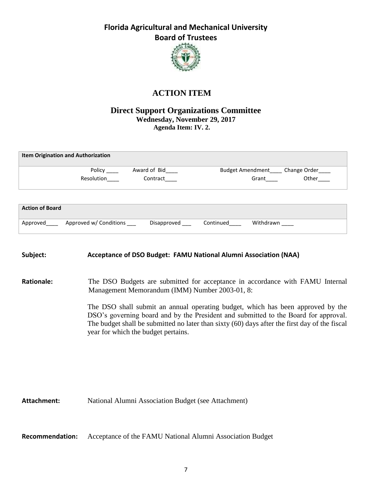

## **ACTION ITEM**

#### **Direct Support Organizations Committee Wednesday, November 29, 2017 Agenda Item: IV. 2.**

|                        | <b>Item Origination and Authorization</b> |              |           |                         |              |
|------------------------|-------------------------------------------|--------------|-----------|-------------------------|--------------|
|                        | Policy                                    | Award of Bid |           | <b>Budget Amendment</b> | Change Order |
|                        | Resolution                                | Contract     |           | Grant                   | Other        |
|                        |                                           |              |           |                         |              |
| <b>Action of Board</b> |                                           |              |           |                         |              |
| Approved               | Approved w/ Conditions                    | Disapproved  | Continued | Withdrawn               |              |

#### **Subject: Acceptance of DSO Budget: FAMU National Alumni Association (NAA)**

#### **Rationale:** The DSO Budgets are submitted for acceptance in accordance with FAMU Internal Management Memorandum (IMM) Number 2003-01, 8:

The DSO shall submit an annual operating budget, which has been approved by the DSO's governing board and by the President and submitted to the Board for approval. The budget shall be submitted no later than sixty (60) days after the first day of the fiscal year for which the budget pertains.

Attachment: National Alumni Association Budget (see Attachment)

**Recommendation:** Acceptance of the FAMU National Alumni Association Budget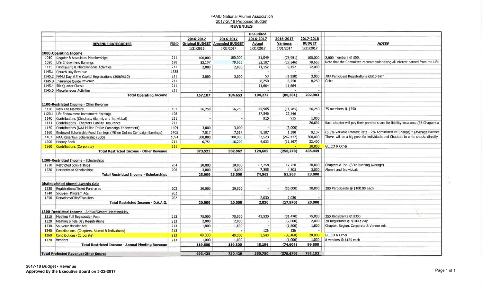## FAMU National Alumni Association 2017-2018 Proposed Budget

|      |                                                                       |             |           |                                       | <b>Unaudited</b>      |            |               |                                                                                  |
|------|-----------------------------------------------------------------------|-------------|-----------|---------------------------------------|-----------------------|------------|---------------|----------------------------------------------------------------------------------|
|      |                                                                       |             | 2016-2017 | 2016-2017                             | 2016-2017             | 2016-2017  | 2017-2018     |                                                                                  |
|      | <b>REVENUE CATEGORIES</b>                                             | <b>FUND</b> |           | <b>Original BUDGET Amended BUDGET</b> | <b>Actual</b>         | Variance   | <b>BUDGET</b> | <b>NOTES</b>                                                                     |
|      |                                                                       |             | 1/31/2016 | 1/31/2017                             | 1/31/2017             | 1/31/2017  | 1/31/2017     |                                                                                  |
|      | <b>1000-Operating Income</b>                                          |             |           |                                       |                       |            |               |                                                                                  |
|      | 1010 Regular & Associates Memberships                                 | 211         | 100,000   | 100,000                               | 21,049                | (78, 951)  | 100,000       | 2,000 members @ \$50.                                                            |
|      | 1020 Life Endowment Earnings                                          | 198         | 52,107    | 79,653                                | 52,107                | (27, 546)  | 79,653        | Note that the Committee recommends taking all interest earned from the Life      |
|      | 1145 Fundraising & Miscellaneous Activities                           | 211         | 2,000     | 2,000                                 | 11,152                | 9,152      | 12,000        |                                                                                  |
|      | 1145.1 Church Day Revenue                                             | 1335        |           |                                       |                       |            |               |                                                                                  |
|      | 1145.2 FAMU Day at the Capitol Registrations (300@\$10)               | 211         | 3,000     | 3,000                                 | 50                    | (2,950)    | 3,000         | 300 Participant Registrations @\$10 each                                         |
|      | 1145.3 Insurance Quote Revenue                                        | 211         |           |                                       | 8,250                 | 8,250      | 8,250         | Geico                                                                            |
|      | 1145.4 5th Quarter Classic                                            | 211         |           |                                       | 11,664                | 11,664     |               |                                                                                  |
|      | 1145.5 Miscellaneous Activities                                       | 211         |           |                                       |                       |            |               |                                                                                  |
|      | <b>Total Operating Income</b>                                         |             | 157,107   | 184,653                               | 104,272               | (80, 381)  | 202,903       |                                                                                  |
|      | 1100-Restricted Income - Other Revenue                                |             |           |                                       |                       |            |               |                                                                                  |
|      | 1120 New Life Members                                                 | 197         | 56,250    | 56,250                                | 44,965                | (11, 285)  | 56,250        | 75 members @ \$750                                                               |
|      | 1120.1 Life Endowment Investment Earnings                             | 198         |           |                                       | 27,546                | 27,546     |               |                                                                                  |
| 1140 | Contributions (Chapters, Alumni, and Individual)                      | 211         |           |                                       | 915                   | 915        | 1,000         |                                                                                  |
| 1141 | Contributions - Chapters Liability Insurance                          | 211         |           |                                       |                       |            | 26,692        | Each chapter will pay their porated share for liability insurance (67 Chapters x |
| 1150 | Contributions (NAA Million Dollar Campaign Endowment)                 | 1404        | 3,000     | 3,000                                 |                       | (3,000)    |               |                                                                                  |
| 1160 | Endowed Scholarship Fund Earnings (Million Dollars Campaign Earnings) | 1405        | 7,517     | 7,517                                 | 9,107                 | 1,590      | 9,107         | (5.5% Variable Interest Rate - 2% Administrative Charge) * (Average Balance      |
| 1161 | NAA Retention Scholarship (SOS)                                       | 1894        | 300,000   | 300,000                               | 37,523                | (262, 477) | 300,000       | There will be a big push for individuals and Chapters to write checks directly   |
| 1200 | <b>History Book</b>                                                   | 211         | 6,754     | 16,200                                | 4,633                 | (11, 567)  | 22,400        |                                                                                  |
| 1360 | <b>Contributions (Corporate)</b>                                      | 211         |           |                                       |                       |            | 20,000        | GEICO & Other                                                                    |
|      | <b>Total Restricted Income - Other Revenue</b>                        |             | 373,521   | 382,967                               | 124,689               | (258, 278) | 435,449       |                                                                                  |
|      | 1200-Restricted Income - Scholarships                                 |             |           |                                       |                       |            |               |                                                                                  |
| 1210 | Restricted Scholarships                                               | 204         | 20,000    | 20,000                                | 67,258                | 47,258     | 20,000        | Chapters & Ind. (3 Yr Running Average)                                           |
| 1220 | Unrestricted Scholarships                                             | 206         | 3,000     | 3,000                                 | 7,305                 | 4,305      | 3,000         | Alumni and Individuals                                                           |
|      | <b>Total Restricted Income - Scholarships</b>                         |             | 23,000    | 23,000                                | 74,563                | 51,563     | 23,000        |                                                                                  |
|      | <b>Distinguished Alumni Awards Gala</b>                               |             |           |                                       |                       |            |               |                                                                                  |
| 1230 | Registrations/Ticket Purchases                                        | 202         | 20,000    | 20,000                                | $\tilde{\phantom{a}}$ | (20,000)   | 20,000        | 200 Participants @ \$100.00 each                                                 |
| 1240 | Souvenir Program Ads                                                  | 202         |           |                                       |                       |            |               |                                                                                  |
| 1250 | Donations/Gifts/Transfers                                             | 202         |           |                                       | 2,030                 | 2,030      |               |                                                                                  |
|      | <b>Total Restricted Income - D.A.A.G.</b>                             |             | 20,000    | 20,000                                | 2,030                 | (17,970)   | 20,000        |                                                                                  |
|      | 1300-Restricted Income - Annual/General Meeting/May                   |             |           |                                       |                       |            |               |                                                                                  |
| 1310 | Meeting Full Registration Fees                                        | 213         | 75,000    | 75,000                                | 43,530                | (31, 470)  | 75,000        | 250 Registrants @ \$300                                                          |
| 1320 | Meeting Single Day Registrations                                      | 213         | 2,000     | 2,000                                 |                       | (2,000)    | 2,000         | 20 Registrants @ \$100 a day                                                     |
| 1330 | Souvenir Booklet Ads                                                  | 213         | 1,800     | 1,800                                 | ٠                     | (1,800)    | 1,800         | Chapter, Region, Corporate & Vendor Ads                                          |
| 1340 | Contributions (Chapters, Alumni & Individuals)                        | 213         |           |                                       | 126                   | 126        |               |                                                                                  |
| 1360 | <b>Contributions (Corporate)</b>                                      | 213         | 40,000    | 40,000                                | 1,540                 | (38, 460)  | 20,000        | <b>GEICO &amp; Other</b>                                                         |
| 1370 | Vendors                                                               | 213         | 1,000     | 1,000                                 |                       | (1,000)    | 1,000         | 8 vendors @ \$125 each                                                           |
|      | <b>Total Restricted Income - Annual Meeting Revenue</b>               |             | 119,800   | 119,800                               | 45,196                | (74, 604)  | 99,800        |                                                                                  |
|      | <b>Total Projected Revenue/Other Source</b>                           |             | 693,428   | 730,420                               | 350,750               | (379, 670) | 781,152       |                                                                                  |

THE.  $\chi^{\rm K}_{\rm B}$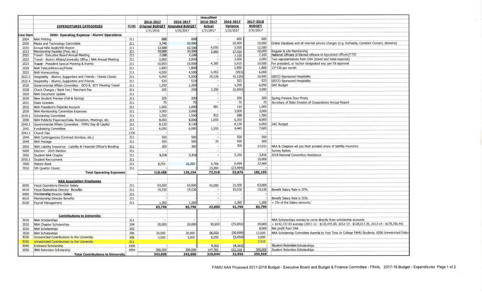|                  |                                                                  |             |           |                                       | <b>Unaudited</b>         |           |               |                                                                                                  |
|------------------|------------------------------------------------------------------|-------------|-----------|---------------------------------------|--------------------------|-----------|---------------|--------------------------------------------------------------------------------------------------|
|                  |                                                                  |             | 2016-2017 | 2016-2017                             | 2016-2017                | 2016-2017 | 2017-2018     |                                                                                                  |
|                  | <b>EXPENDITURES CATEGORIES</b>                                   | <b>FUND</b> |           | <b>Original BUDGET Amended BUDGET</b> | <b>Actual</b>            | Variance  | <b>BUDGET</b> |                                                                                                  |
|                  |                                                                  |             | 1/31/2016 | 1/31/2017                             | 1/31/2017                | 1/31/2017 | 1/31/2017     |                                                                                                  |
| <b>Line Item</b> | 2000- Operating Expense - Alumni Operations                      |             |           |                                       |                          |           |               |                                                                                                  |
| 2004             | NAA Printing                                                     | 211         | 600       | 600                                   |                          | 600       | 600           |                                                                                                  |
| 2009             | Media and Technology Committee                                   | 211         | 3,740     | 10,000                                |                          | 10,000    | 10,000        | Online Database and all internet service charges (e.g. GoDaddy, Constant Contact, domains)       |
| 2010             | Annual NAA Audit/990 Report                                      | 211         | 12,500    | 12,500                                | 9,000                    | 3,500     | 12,500        |                                                                                                  |
| 2013             | Membership Packets (Pins, etc.)                                  | 211         | 20,000    | 20,000                                | 2.980                    | 17.020    | 20,000        | Regular & Life Membership                                                                        |
| 2021             | Travel - Executive Board Annual Meeting                          | 211         | 7,100     | 7,100                                 |                          | 7.100     | 7,100         | National Officers (8 Elected officers+6 Appointed officers)*700                                  |
| 2022             | Travel - Alumni Affairs/University Office / NAA Annual Meeting   | 211         | 2,000     | 2,000                                 | $\overline{\phantom{a}}$ | 2,000     | 2,000         | Two representatives from OAA (travel and hotel expense)                                          |
| 2023             | Travel - President Special Meeting & Events                      | 211         | 10,000    | 10,000                                | 4,385                    | 5,615     | 10,000        | For president, or his/her designated rep. per EB approval                                        |
| 2024             | NAA Teleconferences/Phone                                        | 211         | 1,800     | 1,800                                 |                          | 1,800     | 1,800         | 12*150 per month                                                                                 |
| 2025             | NAA Homecoming                                                   | 211         | 4,500     | 4,500                                 | 5,453                    | (953)     | 6,000         |                                                                                                  |
| 2025.3           | Hospitality - Alumni, Supporters and Friends - Florida Classic   | 211         | 5,000     | 5,000                                 | 10,126                   | (5, 126)  | 10,000        | <b>GEICO Sponsored Hospitality</b>                                                               |
| 2025.4           | Hospitality - Alumni, Supporters and Friends                     | 211         | 523       | 523                                   |                          | 523       | 523           | <b>GEICO Sponsored Hospitality</b>                                                               |
| 2026             | Governmental Affairs Committee - BOG & BOT Meeting Travel        | 211         | 1,200     | 1,200                                 |                          | 1,200     | 6,050         | <b>GAC Budget</b>                                                                                |
| 2028             | Check Charges / Bank Fee / Merchant Fee                          | 211         | 250       | 250                                   | 2,206                    | (1,956)   | 3,000         |                                                                                                  |
| 2029             | NAA Document Update                                              | 211         |           |                                       |                          |           |               |                                                                                                  |
| 2030             | New Student Preview (Fall & Spring)                              | 211         | 200       | 200                                   |                          | 200       | 200           | <b>Spring Preview Door Prizes</b>                                                                |
| 2031             | State Licenses                                                   | 211         | 75        | 75                                    |                          | 75        | 75            | Secretary of State Division of Corporations Annual Report                                        |
| 2032             | NAA President's Expense Account                                  | 211         | 1,000     | 1,000                                 | 881                      | 119       | 1,000         |                                                                                                  |
| 2039             | NAA Membership Committee Expenses                                | 211         | 3,000     | 3,000                                 |                          | 3,000     | 3,000         |                                                                                                  |
| 2039.1           | Scholarship Committee                                            | 211         | 1,500     | 1,500                                 | 812                      | 688       | 1,500         |                                                                                                  |
| 2040             | NAA Publicity Expenses/Gala, Reception, Meetings, etc.           | 211         | 8,000     | 8,000                                 | 1,650                    | 6,350     | 8,000         |                                                                                                  |
|                  | Governmental Affairs Committee - FAMU Day @ Capitol              | 211         | 8,130     | 8,130                                 |                          | 8,130     | 6,000         | <b>GAC Budget</b>                                                                                |
| 2040.1           |                                                                  | 211         | 6,000     | 6,000                                 | 1,555                    | 4,445     | 7,600         |                                                                                                  |
| 2042             | <b>Fundraising Committee</b>                                     | 1335        |           |                                       |                          |           |               |                                                                                                  |
| 2042.1           | Church Day                                                       | 211         | 500       | 500                                   | ÷.                       | 500       | 500           |                                                                                                  |
| 2044             | NAA Contingencies (Contract Services, etc.)                      |             |           | 500                                   |                          | 430       | 500           |                                                                                                  |
| 2049             | <b>NAA Postage</b>                                               | 211         | 500       |                                       | 70                       |           |               |                                                                                                  |
| 2050             | NAA Liability Insurance -Liability & Financial Officer's Bonding | 211         | 300       | 300                                   |                          | 300       | 27,031        | NAA & Chapters wil pay their porated share of liability insurance                                |
| 5000             | Election - 2015 Election                                         | 211         |           |                                       | ×.                       |           |               | Survey Ballots                                                                                   |
| 3050             | Student NAA Chapter                                              | 211         | 5,316     | 5,316                                 |                          | 5,316     | 3,816         | 2018 National Convention Assistance                                                              |
| 3050.1           | Student Recruitment                                              | 211         |           |                                       |                          |           | 10,000        |                                                                                                  |
| 7000             | <b>History Book</b>                                              | 211         | 6,754     | 16,200                                | 9,706                    | 6,494     | 22,400        |                                                                                                  |
| 7010             | 5th Quarter Classic                                              | 211         |           |                                       | 23,494                   | (23, 494) |               |                                                                                                  |
|                  | <b>Total Operating Expenses</b>                                  |             | 110,488   | 126,194                               | 72,318                   | 53,876    | 181,195       |                                                                                                  |
|                  |                                                                  |             |           |                                       |                          |           |               |                                                                                                  |
|                  | <b>NAA Association Employees</b>                                 |             |           |                                       |                          |           |               |                                                                                                  |
| 6000             | <b>Fiscal Operations Director Salary</b>                         | 211         | 63,000    | 63,000                                | 42,000                   | 21,000    | 63,000        |                                                                                                  |
| 6010             | <b>Fiscal Operations Director Benefits</b>                       | 211         | 19,530    | 19,530                                |                          | 19,530    | 19,530        | Benefit Salary Rate is 31%                                                                       |
| 6000             | Membership Director Salary                                       | 211         |           |                                       | $\overline{\mathcal{M}}$ |           |               |                                                                                                  |
| 6010             | Membership Director Benefits                                     | 211         |           |                                       | S.                       |           |               | Benefit Salary Rate is 31%                                                                       |
| 6020             | Payroll Management                                               | 211         | 1,260     | 1,260                                 | $\ddot{\phantom{a}}$     | 1,260     | 1,260         | = 2% of the Salary amounts.                                                                      |
|                  |                                                                  |             | 83,790    | 83,790                                | 42,000                   | 41,790    | 83,790        |                                                                                                  |
|                  |                                                                  |             |           |                                       |                          |           |               |                                                                                                  |
|                  | <b>Contributions to University</b>                               |             |           |                                       |                          |           |               |                                                                                                  |
| 3010             | NAA Scholarships                                                 | 211         |           |                                       |                          |           |               | NAA Scholarships monies to come directly from scholarship accounts                               |
| 3010             | NAA Chapter Scholarships                                         | 204         | 20,000    | 20,000                                | 99,850                   | (79, 850) | 20,000        | = \$142,737.93 average (2011-12 - \$120,415.00, 2012-13 - \$128,017.35, 2013-14 - \$179,781.44)  |
| 3010             | NAA Scholarships                                                 | 202         |           |                                       |                          |           | 8,000         | Net profit from DAA                                                                              |
| 3020             | NAA Scholarships                                                 | 206         | 20,000    | 20,000                                | 50,000                   | (30,000)  | 12,000        | NAA Scholarship Committee Awards to First Time In College FAMU Students. 0206 Unrestricted Disbu |
| 3030             | Unrestricted Contributions to the University                     | 206         | 3,000     | 3,000                                 | 8.050                    | (5,050)   | 3,000         |                                                                                                  |
| 3030             | Unrestricted Contributions to the University                     | 211         |           |                                       |                          |           | 7,910         |                                                                                                  |
| 3040             | <b>Endowed Scholarship</b>                                       | 1405        |           |                                       | 4,362                    | (4, 362)  |               | <b>Student Retention Scholarships</b>                                                            |
| 3050             | NAA Retention Scholarship                                        | 1894        | 300,000   | 300,000                               | 147,782                  | 152,218   | 300,000       | <b>Student Retention Scholarships</b>                                                            |
|                  | <b>Total Contributions to University</b>                         |             | 343,000   | 343,000                               | 310,044                  | 32,956    | 350,910       |                                                                                                  |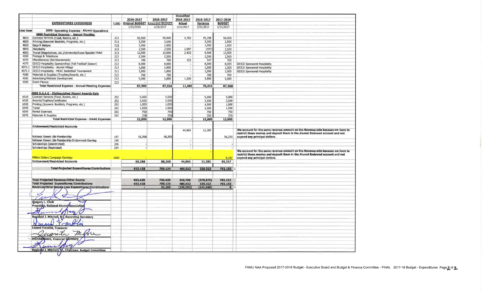| 2016-2017<br>2016-2017<br>2016-2017<br>2017-2018<br>2016-2017<br><b>EXPENDITURES CATEGORIES</b><br><b>Original BUDGET Amended BUDGET</b><br><b>BUDGET</b><br><b>FUND</b><br><b>Actual</b><br>Variance<br>1/31/2016<br>1/31/2017<br>1/31/2017<br>1/31/2017<br>1/31/2017<br><b>Line Item</b><br>2000- Operating Expense - Alumni Operations<br>4000 Restricted Expense - Annual Meeting<br>Contract Services (Food, Rooms, etc.)<br>213<br>50,000<br>50,000<br>4,702<br>45,298<br>50,000<br>4010<br>4020<br>Printing (Souvenir Booklets, Programs, etc.)<br>213<br>3,500<br>3,500<br>3,500<br>3,500<br>4030<br><b>Bags &amp; Badges</b><br>213<br>1,000<br>1,000<br>1,000<br>1,000<br>4040<br>2,500<br>Hospitality<br>213<br>2,500<br>2,997<br>(497)<br>2,500<br>4050<br>Travel (Negotiations, etc.)/University/Guest Speaker Hotel<br>213<br>12,000<br>12,000<br>2,432<br>9,568<br>12,000<br>4060<br>Postage & Telephone<br>213<br>2,500<br>2,500<br>2,500<br>2,500<br>4070<br>Miscellaneous (Reimbursement)<br>153<br>213<br>700<br>700<br>547<br>700<br>GEICO Hospitality Sponsorships (Fall Football Season)<br>4075<br>213<br>8,000<br>8,000<br>8,000<br>8,000<br><b>GEICO Sponsored Hospitality</b><br>۰.<br>4075.1<br>GEICO Hospitality - Alumni Village<br>213<br>1,000<br>1,000<br>1,000<br><b>GEICO Sponsored Hospitality</b><br>1,000<br>×<br>4075.2<br>GEICO Hospitality - MEAC Basketball Tournament<br>213<br>1,000<br>1,000<br>1,000<br><b>GEICO Sponsored Hospitality</b><br>1,000<br>4080<br>Materials & Supplies (Trophies/Awards, etc.)<br>213<br>700<br>700<br>700<br>700<br>Advertising/Website Development<br>4085<br>213<br>5,000<br>5,000<br>1,200<br>3,800<br>5,000<br>4090<br>Event Planner<br>213<br><b>Total Restricted Expense - Annual Meeting Expenses</b><br>87,900<br>87,900<br>11,485<br>76,415<br>87,900<br>4000 D.A.A.G - Distinguished Alumni Awards Gala<br>Contract Services (Food, Rooms, etc.)<br>6010<br>202<br>5,000<br>5,000<br>5,000<br>5,000<br>Awards/Trophies/Certificates<br>6020<br>202<br>3,500<br>3,500<br>3,500<br>3,500<br>6030<br>Printing (Souvenir Booklets, Programs, etc.)<br>202<br>1,000<br>1,000<br>1,000<br>1.000<br>6040<br>Travel<br>202<br>1,500<br>1,500<br>1,500<br>1,500<br><b>Rental Expenses</b><br>6050<br>202<br>750<br>750<br>750<br>750<br>6070<br>Materials & Supplies<br>202<br>250<br>250<br>250<br>250<br><b>Total Restricted Expense - DAAG Expenses</b><br>12,000<br>12,000<br>12,000<br>12,000<br><b>Endowment/Restricted Accounts</b><br>We account for the same revenue amount on the Revenue side because we have to<br>44,965<br>11,285<br>restrict these monies and deposit them in the Alumni Endowed account and not<br>56,250<br>National Alumni Life Membership<br>197<br>56,250<br>56,250<br>expend any principal dollars.<br>National Alumni Life Membership Endowment Earning<br>198<br>×<br>Scholarships (Unrestricted)<br>206<br>×<br>Scholarships (Restricted)<br>204<br>We account for the same revenue amount on the Revenue side because we have to<br>restrict these monies and deposit them in the Alumni Endowed account and not<br><b>Million Dollars Campaign Earnings</b><br>1405<br>9,107<br>expend any principal dollars.<br><b>Endowment/Restricted Accounts</b><br>56,250<br>56,250<br>44,965<br>11,285<br>65,357<br><b>Total Projected Expenditures/Contributions</b><br>693,428<br>709,134<br>480,812<br>228,322<br>781,152<br><b>Total Projected Revenue/Other Source</b><br>(379, 670)<br>693,428<br>730,420<br>350,750<br>781,152<br><b>Total Projected Expenditures/Contributions</b><br>693,428<br>709,134<br>480,812<br>228,322<br>781,152<br>Revenue/Other Source Less Expenditures/Contributions<br>21,286<br>(151, 348)<br>(130, 062)<br>$\bf o$<br>Gregory L. Clark<br>President, National Alumni Association<br>usc.<br><u>anno ma</u><br>Reginald J. Mitchell, Sr/, Recording Secretary<br><b>Lenard Franklin, Treasurer</b><br>ranita<br>Juanita Moore, Financial Secretary<br>يعدد<br>Reginald J. Mitchell, Sr., Chairman, Budget Committee |  |  | <b>Unaudited</b> |  |  |
|-------------------------------------------------------------------------------------------------------------------------------------------------------------------------------------------------------------------------------------------------------------------------------------------------------------------------------------------------------------------------------------------------------------------------------------------------------------------------------------------------------------------------------------------------------------------------------------------------------------------------------------------------------------------------------------------------------------------------------------------------------------------------------------------------------------------------------------------------------------------------------------------------------------------------------------------------------------------------------------------------------------------------------------------------------------------------------------------------------------------------------------------------------------------------------------------------------------------------------------------------------------------------------------------------------------------------------------------------------------------------------------------------------------------------------------------------------------------------------------------------------------------------------------------------------------------------------------------------------------------------------------------------------------------------------------------------------------------------------------------------------------------------------------------------------------------------------------------------------------------------------------------------------------------------------------------------------------------------------------------------------------------------------------------------------------------------------------------------------------------------------------------------------------------------------------------------------------------------------------------------------------------------------------------------------------------------------------------------------------------------------------------------------------------------------------------------------------------------------------------------------------------------------------------------------------------------------------------------------------------------------------------------------------------------------------------------------------------------------------------------------------------------------------------------------------------------------------------------------------------------------------------------------------------------------------------------------------------------------------------------------------------------------------------------------------------------------------------------------------------------------------------------------------------------------------------------------------------------------------------------------------------------------------------------------------------------------------------------------------------------------------------------------------------------------------------------------------------------------------------------------------------------------------------------------------------------------------------------------------------------------------------------------------------------------------------------------------------------------------------------------------------------------------------------------------------------------------------------------------------------------------------------------------------------------------------------------------------------------------------------------------------------------------------------------------------------|--|--|------------------|--|--|
|                                                                                                                                                                                                                                                                                                                                                                                                                                                                                                                                                                                                                                                                                                                                                                                                                                                                                                                                                                                                                                                                                                                                                                                                                                                                                                                                                                                                                                                                                                                                                                                                                                                                                                                                                                                                                                                                                                                                                                                                                                                                                                                                                                                                                                                                                                                                                                                                                                                                                                                                                                                                                                                                                                                                                                                                                                                                                                                                                                                                                                                                                                                                                                                                                                                                                                                                                                                                                                                                                                                                                                                                                                                                                                                                                                                                                                                                                                                                                                                                                                                                         |  |  |                  |  |  |
|                                                                                                                                                                                                                                                                                                                                                                                                                                                                                                                                                                                                                                                                                                                                                                                                                                                                                                                                                                                                                                                                                                                                                                                                                                                                                                                                                                                                                                                                                                                                                                                                                                                                                                                                                                                                                                                                                                                                                                                                                                                                                                                                                                                                                                                                                                                                                                                                                                                                                                                                                                                                                                                                                                                                                                                                                                                                                                                                                                                                                                                                                                                                                                                                                                                                                                                                                                                                                                                                                                                                                                                                                                                                                                                                                                                                                                                                                                                                                                                                                                                                         |  |  |                  |  |  |
|                                                                                                                                                                                                                                                                                                                                                                                                                                                                                                                                                                                                                                                                                                                                                                                                                                                                                                                                                                                                                                                                                                                                                                                                                                                                                                                                                                                                                                                                                                                                                                                                                                                                                                                                                                                                                                                                                                                                                                                                                                                                                                                                                                                                                                                                                                                                                                                                                                                                                                                                                                                                                                                                                                                                                                                                                                                                                                                                                                                                                                                                                                                                                                                                                                                                                                                                                                                                                                                                                                                                                                                                                                                                                                                                                                                                                                                                                                                                                                                                                                                                         |  |  |                  |  |  |
|                                                                                                                                                                                                                                                                                                                                                                                                                                                                                                                                                                                                                                                                                                                                                                                                                                                                                                                                                                                                                                                                                                                                                                                                                                                                                                                                                                                                                                                                                                                                                                                                                                                                                                                                                                                                                                                                                                                                                                                                                                                                                                                                                                                                                                                                                                                                                                                                                                                                                                                                                                                                                                                                                                                                                                                                                                                                                                                                                                                                                                                                                                                                                                                                                                                                                                                                                                                                                                                                                                                                                                                                                                                                                                                                                                                                                                                                                                                                                                                                                                                                         |  |  |                  |  |  |
|                                                                                                                                                                                                                                                                                                                                                                                                                                                                                                                                                                                                                                                                                                                                                                                                                                                                                                                                                                                                                                                                                                                                                                                                                                                                                                                                                                                                                                                                                                                                                                                                                                                                                                                                                                                                                                                                                                                                                                                                                                                                                                                                                                                                                                                                                                                                                                                                                                                                                                                                                                                                                                                                                                                                                                                                                                                                                                                                                                                                                                                                                                                                                                                                                                                                                                                                                                                                                                                                                                                                                                                                                                                                                                                                                                                                                                                                                                                                                                                                                                                                         |  |  |                  |  |  |
|                                                                                                                                                                                                                                                                                                                                                                                                                                                                                                                                                                                                                                                                                                                                                                                                                                                                                                                                                                                                                                                                                                                                                                                                                                                                                                                                                                                                                                                                                                                                                                                                                                                                                                                                                                                                                                                                                                                                                                                                                                                                                                                                                                                                                                                                                                                                                                                                                                                                                                                                                                                                                                                                                                                                                                                                                                                                                                                                                                                                                                                                                                                                                                                                                                                                                                                                                                                                                                                                                                                                                                                                                                                                                                                                                                                                                                                                                                                                                                                                                                                                         |  |  |                  |  |  |
|                                                                                                                                                                                                                                                                                                                                                                                                                                                                                                                                                                                                                                                                                                                                                                                                                                                                                                                                                                                                                                                                                                                                                                                                                                                                                                                                                                                                                                                                                                                                                                                                                                                                                                                                                                                                                                                                                                                                                                                                                                                                                                                                                                                                                                                                                                                                                                                                                                                                                                                                                                                                                                                                                                                                                                                                                                                                                                                                                                                                                                                                                                                                                                                                                                                                                                                                                                                                                                                                                                                                                                                                                                                                                                                                                                                                                                                                                                                                                                                                                                                                         |  |  |                  |  |  |
|                                                                                                                                                                                                                                                                                                                                                                                                                                                                                                                                                                                                                                                                                                                                                                                                                                                                                                                                                                                                                                                                                                                                                                                                                                                                                                                                                                                                                                                                                                                                                                                                                                                                                                                                                                                                                                                                                                                                                                                                                                                                                                                                                                                                                                                                                                                                                                                                                                                                                                                                                                                                                                                                                                                                                                                                                                                                                                                                                                                                                                                                                                                                                                                                                                                                                                                                                                                                                                                                                                                                                                                                                                                                                                                                                                                                                                                                                                                                                                                                                                                                         |  |  |                  |  |  |
|                                                                                                                                                                                                                                                                                                                                                                                                                                                                                                                                                                                                                                                                                                                                                                                                                                                                                                                                                                                                                                                                                                                                                                                                                                                                                                                                                                                                                                                                                                                                                                                                                                                                                                                                                                                                                                                                                                                                                                                                                                                                                                                                                                                                                                                                                                                                                                                                                                                                                                                                                                                                                                                                                                                                                                                                                                                                                                                                                                                                                                                                                                                                                                                                                                                                                                                                                                                                                                                                                                                                                                                                                                                                                                                                                                                                                                                                                                                                                                                                                                                                         |  |  |                  |  |  |
|                                                                                                                                                                                                                                                                                                                                                                                                                                                                                                                                                                                                                                                                                                                                                                                                                                                                                                                                                                                                                                                                                                                                                                                                                                                                                                                                                                                                                                                                                                                                                                                                                                                                                                                                                                                                                                                                                                                                                                                                                                                                                                                                                                                                                                                                                                                                                                                                                                                                                                                                                                                                                                                                                                                                                                                                                                                                                                                                                                                                                                                                                                                                                                                                                                                                                                                                                                                                                                                                                                                                                                                                                                                                                                                                                                                                                                                                                                                                                                                                                                                                         |  |  |                  |  |  |
|                                                                                                                                                                                                                                                                                                                                                                                                                                                                                                                                                                                                                                                                                                                                                                                                                                                                                                                                                                                                                                                                                                                                                                                                                                                                                                                                                                                                                                                                                                                                                                                                                                                                                                                                                                                                                                                                                                                                                                                                                                                                                                                                                                                                                                                                                                                                                                                                                                                                                                                                                                                                                                                                                                                                                                                                                                                                                                                                                                                                                                                                                                                                                                                                                                                                                                                                                                                                                                                                                                                                                                                                                                                                                                                                                                                                                                                                                                                                                                                                                                                                         |  |  |                  |  |  |
|                                                                                                                                                                                                                                                                                                                                                                                                                                                                                                                                                                                                                                                                                                                                                                                                                                                                                                                                                                                                                                                                                                                                                                                                                                                                                                                                                                                                                                                                                                                                                                                                                                                                                                                                                                                                                                                                                                                                                                                                                                                                                                                                                                                                                                                                                                                                                                                                                                                                                                                                                                                                                                                                                                                                                                                                                                                                                                                                                                                                                                                                                                                                                                                                                                                                                                                                                                                                                                                                                                                                                                                                                                                                                                                                                                                                                                                                                                                                                                                                                                                                         |  |  |                  |  |  |
|                                                                                                                                                                                                                                                                                                                                                                                                                                                                                                                                                                                                                                                                                                                                                                                                                                                                                                                                                                                                                                                                                                                                                                                                                                                                                                                                                                                                                                                                                                                                                                                                                                                                                                                                                                                                                                                                                                                                                                                                                                                                                                                                                                                                                                                                                                                                                                                                                                                                                                                                                                                                                                                                                                                                                                                                                                                                                                                                                                                                                                                                                                                                                                                                                                                                                                                                                                                                                                                                                                                                                                                                                                                                                                                                                                                                                                                                                                                                                                                                                                                                         |  |  |                  |  |  |
|                                                                                                                                                                                                                                                                                                                                                                                                                                                                                                                                                                                                                                                                                                                                                                                                                                                                                                                                                                                                                                                                                                                                                                                                                                                                                                                                                                                                                                                                                                                                                                                                                                                                                                                                                                                                                                                                                                                                                                                                                                                                                                                                                                                                                                                                                                                                                                                                                                                                                                                                                                                                                                                                                                                                                                                                                                                                                                                                                                                                                                                                                                                                                                                                                                                                                                                                                                                                                                                                                                                                                                                                                                                                                                                                                                                                                                                                                                                                                                                                                                                                         |  |  |                  |  |  |
|                                                                                                                                                                                                                                                                                                                                                                                                                                                                                                                                                                                                                                                                                                                                                                                                                                                                                                                                                                                                                                                                                                                                                                                                                                                                                                                                                                                                                                                                                                                                                                                                                                                                                                                                                                                                                                                                                                                                                                                                                                                                                                                                                                                                                                                                                                                                                                                                                                                                                                                                                                                                                                                                                                                                                                                                                                                                                                                                                                                                                                                                                                                                                                                                                                                                                                                                                                                                                                                                                                                                                                                                                                                                                                                                                                                                                                                                                                                                                                                                                                                                         |  |  |                  |  |  |
|                                                                                                                                                                                                                                                                                                                                                                                                                                                                                                                                                                                                                                                                                                                                                                                                                                                                                                                                                                                                                                                                                                                                                                                                                                                                                                                                                                                                                                                                                                                                                                                                                                                                                                                                                                                                                                                                                                                                                                                                                                                                                                                                                                                                                                                                                                                                                                                                                                                                                                                                                                                                                                                                                                                                                                                                                                                                                                                                                                                                                                                                                                                                                                                                                                                                                                                                                                                                                                                                                                                                                                                                                                                                                                                                                                                                                                                                                                                                                                                                                                                                         |  |  |                  |  |  |
|                                                                                                                                                                                                                                                                                                                                                                                                                                                                                                                                                                                                                                                                                                                                                                                                                                                                                                                                                                                                                                                                                                                                                                                                                                                                                                                                                                                                                                                                                                                                                                                                                                                                                                                                                                                                                                                                                                                                                                                                                                                                                                                                                                                                                                                                                                                                                                                                                                                                                                                                                                                                                                                                                                                                                                                                                                                                                                                                                                                                                                                                                                                                                                                                                                                                                                                                                                                                                                                                                                                                                                                                                                                                                                                                                                                                                                                                                                                                                                                                                                                                         |  |  |                  |  |  |
|                                                                                                                                                                                                                                                                                                                                                                                                                                                                                                                                                                                                                                                                                                                                                                                                                                                                                                                                                                                                                                                                                                                                                                                                                                                                                                                                                                                                                                                                                                                                                                                                                                                                                                                                                                                                                                                                                                                                                                                                                                                                                                                                                                                                                                                                                                                                                                                                                                                                                                                                                                                                                                                                                                                                                                                                                                                                                                                                                                                                                                                                                                                                                                                                                                                                                                                                                                                                                                                                                                                                                                                                                                                                                                                                                                                                                                                                                                                                                                                                                                                                         |  |  |                  |  |  |
|                                                                                                                                                                                                                                                                                                                                                                                                                                                                                                                                                                                                                                                                                                                                                                                                                                                                                                                                                                                                                                                                                                                                                                                                                                                                                                                                                                                                                                                                                                                                                                                                                                                                                                                                                                                                                                                                                                                                                                                                                                                                                                                                                                                                                                                                                                                                                                                                                                                                                                                                                                                                                                                                                                                                                                                                                                                                                                                                                                                                                                                                                                                                                                                                                                                                                                                                                                                                                                                                                                                                                                                                                                                                                                                                                                                                                                                                                                                                                                                                                                                                         |  |  |                  |  |  |
|                                                                                                                                                                                                                                                                                                                                                                                                                                                                                                                                                                                                                                                                                                                                                                                                                                                                                                                                                                                                                                                                                                                                                                                                                                                                                                                                                                                                                                                                                                                                                                                                                                                                                                                                                                                                                                                                                                                                                                                                                                                                                                                                                                                                                                                                                                                                                                                                                                                                                                                                                                                                                                                                                                                                                                                                                                                                                                                                                                                                                                                                                                                                                                                                                                                                                                                                                                                                                                                                                                                                                                                                                                                                                                                                                                                                                                                                                                                                                                                                                                                                         |  |  |                  |  |  |
|                                                                                                                                                                                                                                                                                                                                                                                                                                                                                                                                                                                                                                                                                                                                                                                                                                                                                                                                                                                                                                                                                                                                                                                                                                                                                                                                                                                                                                                                                                                                                                                                                                                                                                                                                                                                                                                                                                                                                                                                                                                                                                                                                                                                                                                                                                                                                                                                                                                                                                                                                                                                                                                                                                                                                                                                                                                                                                                                                                                                                                                                                                                                                                                                                                                                                                                                                                                                                                                                                                                                                                                                                                                                                                                                                                                                                                                                                                                                                                                                                                                                         |  |  |                  |  |  |
|                                                                                                                                                                                                                                                                                                                                                                                                                                                                                                                                                                                                                                                                                                                                                                                                                                                                                                                                                                                                                                                                                                                                                                                                                                                                                                                                                                                                                                                                                                                                                                                                                                                                                                                                                                                                                                                                                                                                                                                                                                                                                                                                                                                                                                                                                                                                                                                                                                                                                                                                                                                                                                                                                                                                                                                                                                                                                                                                                                                                                                                                                                                                                                                                                                                                                                                                                                                                                                                                                                                                                                                                                                                                                                                                                                                                                                                                                                                                                                                                                                                                         |  |  |                  |  |  |
|                                                                                                                                                                                                                                                                                                                                                                                                                                                                                                                                                                                                                                                                                                                                                                                                                                                                                                                                                                                                                                                                                                                                                                                                                                                                                                                                                                                                                                                                                                                                                                                                                                                                                                                                                                                                                                                                                                                                                                                                                                                                                                                                                                                                                                                                                                                                                                                                                                                                                                                                                                                                                                                                                                                                                                                                                                                                                                                                                                                                                                                                                                                                                                                                                                                                                                                                                                                                                                                                                                                                                                                                                                                                                                                                                                                                                                                                                                                                                                                                                                                                         |  |  |                  |  |  |
|                                                                                                                                                                                                                                                                                                                                                                                                                                                                                                                                                                                                                                                                                                                                                                                                                                                                                                                                                                                                                                                                                                                                                                                                                                                                                                                                                                                                                                                                                                                                                                                                                                                                                                                                                                                                                                                                                                                                                                                                                                                                                                                                                                                                                                                                                                                                                                                                                                                                                                                                                                                                                                                                                                                                                                                                                                                                                                                                                                                                                                                                                                                                                                                                                                                                                                                                                                                                                                                                                                                                                                                                                                                                                                                                                                                                                                                                                                                                                                                                                                                                         |  |  |                  |  |  |
|                                                                                                                                                                                                                                                                                                                                                                                                                                                                                                                                                                                                                                                                                                                                                                                                                                                                                                                                                                                                                                                                                                                                                                                                                                                                                                                                                                                                                                                                                                                                                                                                                                                                                                                                                                                                                                                                                                                                                                                                                                                                                                                                                                                                                                                                                                                                                                                                                                                                                                                                                                                                                                                                                                                                                                                                                                                                                                                                                                                                                                                                                                                                                                                                                                                                                                                                                                                                                                                                                                                                                                                                                                                                                                                                                                                                                                                                                                                                                                                                                                                                         |  |  |                  |  |  |
|                                                                                                                                                                                                                                                                                                                                                                                                                                                                                                                                                                                                                                                                                                                                                                                                                                                                                                                                                                                                                                                                                                                                                                                                                                                                                                                                                                                                                                                                                                                                                                                                                                                                                                                                                                                                                                                                                                                                                                                                                                                                                                                                                                                                                                                                                                                                                                                                                                                                                                                                                                                                                                                                                                                                                                                                                                                                                                                                                                                                                                                                                                                                                                                                                                                                                                                                                                                                                                                                                                                                                                                                                                                                                                                                                                                                                                                                                                                                                                                                                                                                         |  |  |                  |  |  |
|                                                                                                                                                                                                                                                                                                                                                                                                                                                                                                                                                                                                                                                                                                                                                                                                                                                                                                                                                                                                                                                                                                                                                                                                                                                                                                                                                                                                                                                                                                                                                                                                                                                                                                                                                                                                                                                                                                                                                                                                                                                                                                                                                                                                                                                                                                                                                                                                                                                                                                                                                                                                                                                                                                                                                                                                                                                                                                                                                                                                                                                                                                                                                                                                                                                                                                                                                                                                                                                                                                                                                                                                                                                                                                                                                                                                                                                                                                                                                                                                                                                                         |  |  |                  |  |  |
|                                                                                                                                                                                                                                                                                                                                                                                                                                                                                                                                                                                                                                                                                                                                                                                                                                                                                                                                                                                                                                                                                                                                                                                                                                                                                                                                                                                                                                                                                                                                                                                                                                                                                                                                                                                                                                                                                                                                                                                                                                                                                                                                                                                                                                                                                                                                                                                                                                                                                                                                                                                                                                                                                                                                                                                                                                                                                                                                                                                                                                                                                                                                                                                                                                                                                                                                                                                                                                                                                                                                                                                                                                                                                                                                                                                                                                                                                                                                                                                                                                                                         |  |  |                  |  |  |
|                                                                                                                                                                                                                                                                                                                                                                                                                                                                                                                                                                                                                                                                                                                                                                                                                                                                                                                                                                                                                                                                                                                                                                                                                                                                                                                                                                                                                                                                                                                                                                                                                                                                                                                                                                                                                                                                                                                                                                                                                                                                                                                                                                                                                                                                                                                                                                                                                                                                                                                                                                                                                                                                                                                                                                                                                                                                                                                                                                                                                                                                                                                                                                                                                                                                                                                                                                                                                                                                                                                                                                                                                                                                                                                                                                                                                                                                                                                                                                                                                                                                         |  |  |                  |  |  |
|                                                                                                                                                                                                                                                                                                                                                                                                                                                                                                                                                                                                                                                                                                                                                                                                                                                                                                                                                                                                                                                                                                                                                                                                                                                                                                                                                                                                                                                                                                                                                                                                                                                                                                                                                                                                                                                                                                                                                                                                                                                                                                                                                                                                                                                                                                                                                                                                                                                                                                                                                                                                                                                                                                                                                                                                                                                                                                                                                                                                                                                                                                                                                                                                                                                                                                                                                                                                                                                                                                                                                                                                                                                                                                                                                                                                                                                                                                                                                                                                                                                                         |  |  |                  |  |  |
|                                                                                                                                                                                                                                                                                                                                                                                                                                                                                                                                                                                                                                                                                                                                                                                                                                                                                                                                                                                                                                                                                                                                                                                                                                                                                                                                                                                                                                                                                                                                                                                                                                                                                                                                                                                                                                                                                                                                                                                                                                                                                                                                                                                                                                                                                                                                                                                                                                                                                                                                                                                                                                                                                                                                                                                                                                                                                                                                                                                                                                                                                                                                                                                                                                                                                                                                                                                                                                                                                                                                                                                                                                                                                                                                                                                                                                                                                                                                                                                                                                                                         |  |  |                  |  |  |
|                                                                                                                                                                                                                                                                                                                                                                                                                                                                                                                                                                                                                                                                                                                                                                                                                                                                                                                                                                                                                                                                                                                                                                                                                                                                                                                                                                                                                                                                                                                                                                                                                                                                                                                                                                                                                                                                                                                                                                                                                                                                                                                                                                                                                                                                                                                                                                                                                                                                                                                                                                                                                                                                                                                                                                                                                                                                                                                                                                                                                                                                                                                                                                                                                                                                                                                                                                                                                                                                                                                                                                                                                                                                                                                                                                                                                                                                                                                                                                                                                                                                         |  |  |                  |  |  |
|                                                                                                                                                                                                                                                                                                                                                                                                                                                                                                                                                                                                                                                                                                                                                                                                                                                                                                                                                                                                                                                                                                                                                                                                                                                                                                                                                                                                                                                                                                                                                                                                                                                                                                                                                                                                                                                                                                                                                                                                                                                                                                                                                                                                                                                                                                                                                                                                                                                                                                                                                                                                                                                                                                                                                                                                                                                                                                                                                                                                                                                                                                                                                                                                                                                                                                                                                                                                                                                                                                                                                                                                                                                                                                                                                                                                                                                                                                                                                                                                                                                                         |  |  |                  |  |  |
|                                                                                                                                                                                                                                                                                                                                                                                                                                                                                                                                                                                                                                                                                                                                                                                                                                                                                                                                                                                                                                                                                                                                                                                                                                                                                                                                                                                                                                                                                                                                                                                                                                                                                                                                                                                                                                                                                                                                                                                                                                                                                                                                                                                                                                                                                                                                                                                                                                                                                                                                                                                                                                                                                                                                                                                                                                                                                                                                                                                                                                                                                                                                                                                                                                                                                                                                                                                                                                                                                                                                                                                                                                                                                                                                                                                                                                                                                                                                                                                                                                                                         |  |  |                  |  |  |
|                                                                                                                                                                                                                                                                                                                                                                                                                                                                                                                                                                                                                                                                                                                                                                                                                                                                                                                                                                                                                                                                                                                                                                                                                                                                                                                                                                                                                                                                                                                                                                                                                                                                                                                                                                                                                                                                                                                                                                                                                                                                                                                                                                                                                                                                                                                                                                                                                                                                                                                                                                                                                                                                                                                                                                                                                                                                                                                                                                                                                                                                                                                                                                                                                                                                                                                                                                                                                                                                                                                                                                                                                                                                                                                                                                                                                                                                                                                                                                                                                                                                         |  |  |                  |  |  |
|                                                                                                                                                                                                                                                                                                                                                                                                                                                                                                                                                                                                                                                                                                                                                                                                                                                                                                                                                                                                                                                                                                                                                                                                                                                                                                                                                                                                                                                                                                                                                                                                                                                                                                                                                                                                                                                                                                                                                                                                                                                                                                                                                                                                                                                                                                                                                                                                                                                                                                                                                                                                                                                                                                                                                                                                                                                                                                                                                                                                                                                                                                                                                                                                                                                                                                                                                                                                                                                                                                                                                                                                                                                                                                                                                                                                                                                                                                                                                                                                                                                                         |  |  |                  |  |  |
|                                                                                                                                                                                                                                                                                                                                                                                                                                                                                                                                                                                                                                                                                                                                                                                                                                                                                                                                                                                                                                                                                                                                                                                                                                                                                                                                                                                                                                                                                                                                                                                                                                                                                                                                                                                                                                                                                                                                                                                                                                                                                                                                                                                                                                                                                                                                                                                                                                                                                                                                                                                                                                                                                                                                                                                                                                                                                                                                                                                                                                                                                                                                                                                                                                                                                                                                                                                                                                                                                                                                                                                                                                                                                                                                                                                                                                                                                                                                                                                                                                                                         |  |  |                  |  |  |
|                                                                                                                                                                                                                                                                                                                                                                                                                                                                                                                                                                                                                                                                                                                                                                                                                                                                                                                                                                                                                                                                                                                                                                                                                                                                                                                                                                                                                                                                                                                                                                                                                                                                                                                                                                                                                                                                                                                                                                                                                                                                                                                                                                                                                                                                                                                                                                                                                                                                                                                                                                                                                                                                                                                                                                                                                                                                                                                                                                                                                                                                                                                                                                                                                                                                                                                                                                                                                                                                                                                                                                                                                                                                                                                                                                                                                                                                                                                                                                                                                                                                         |  |  |                  |  |  |
|                                                                                                                                                                                                                                                                                                                                                                                                                                                                                                                                                                                                                                                                                                                                                                                                                                                                                                                                                                                                                                                                                                                                                                                                                                                                                                                                                                                                                                                                                                                                                                                                                                                                                                                                                                                                                                                                                                                                                                                                                                                                                                                                                                                                                                                                                                                                                                                                                                                                                                                                                                                                                                                                                                                                                                                                                                                                                                                                                                                                                                                                                                                                                                                                                                                                                                                                                                                                                                                                                                                                                                                                                                                                                                                                                                                                                                                                                                                                                                                                                                                                         |  |  |                  |  |  |
|                                                                                                                                                                                                                                                                                                                                                                                                                                                                                                                                                                                                                                                                                                                                                                                                                                                                                                                                                                                                                                                                                                                                                                                                                                                                                                                                                                                                                                                                                                                                                                                                                                                                                                                                                                                                                                                                                                                                                                                                                                                                                                                                                                                                                                                                                                                                                                                                                                                                                                                                                                                                                                                                                                                                                                                                                                                                                                                                                                                                                                                                                                                                                                                                                                                                                                                                                                                                                                                                                                                                                                                                                                                                                                                                                                                                                                                                                                                                                                                                                                                                         |  |  |                  |  |  |
|                                                                                                                                                                                                                                                                                                                                                                                                                                                                                                                                                                                                                                                                                                                                                                                                                                                                                                                                                                                                                                                                                                                                                                                                                                                                                                                                                                                                                                                                                                                                                                                                                                                                                                                                                                                                                                                                                                                                                                                                                                                                                                                                                                                                                                                                                                                                                                                                                                                                                                                                                                                                                                                                                                                                                                                                                                                                                                                                                                                                                                                                                                                                                                                                                                                                                                                                                                                                                                                                                                                                                                                                                                                                                                                                                                                                                                                                                                                                                                                                                                                                         |  |  |                  |  |  |
|                                                                                                                                                                                                                                                                                                                                                                                                                                                                                                                                                                                                                                                                                                                                                                                                                                                                                                                                                                                                                                                                                                                                                                                                                                                                                                                                                                                                                                                                                                                                                                                                                                                                                                                                                                                                                                                                                                                                                                                                                                                                                                                                                                                                                                                                                                                                                                                                                                                                                                                                                                                                                                                                                                                                                                                                                                                                                                                                                                                                                                                                                                                                                                                                                                                                                                                                                                                                                                                                                                                                                                                                                                                                                                                                                                                                                                                                                                                                                                                                                                                                         |  |  |                  |  |  |
|                                                                                                                                                                                                                                                                                                                                                                                                                                                                                                                                                                                                                                                                                                                                                                                                                                                                                                                                                                                                                                                                                                                                                                                                                                                                                                                                                                                                                                                                                                                                                                                                                                                                                                                                                                                                                                                                                                                                                                                                                                                                                                                                                                                                                                                                                                                                                                                                                                                                                                                                                                                                                                                                                                                                                                                                                                                                                                                                                                                                                                                                                                                                                                                                                                                                                                                                                                                                                                                                                                                                                                                                                                                                                                                                                                                                                                                                                                                                                                                                                                                                         |  |  |                  |  |  |
|                                                                                                                                                                                                                                                                                                                                                                                                                                                                                                                                                                                                                                                                                                                                                                                                                                                                                                                                                                                                                                                                                                                                                                                                                                                                                                                                                                                                                                                                                                                                                                                                                                                                                                                                                                                                                                                                                                                                                                                                                                                                                                                                                                                                                                                                                                                                                                                                                                                                                                                                                                                                                                                                                                                                                                                                                                                                                                                                                                                                                                                                                                                                                                                                                                                                                                                                                                                                                                                                                                                                                                                                                                                                                                                                                                                                                                                                                                                                                                                                                                                                         |  |  |                  |  |  |
|                                                                                                                                                                                                                                                                                                                                                                                                                                                                                                                                                                                                                                                                                                                                                                                                                                                                                                                                                                                                                                                                                                                                                                                                                                                                                                                                                                                                                                                                                                                                                                                                                                                                                                                                                                                                                                                                                                                                                                                                                                                                                                                                                                                                                                                                                                                                                                                                                                                                                                                                                                                                                                                                                                                                                                                                                                                                                                                                                                                                                                                                                                                                                                                                                                                                                                                                                                                                                                                                                                                                                                                                                                                                                                                                                                                                                                                                                                                                                                                                                                                                         |  |  |                  |  |  |
|                                                                                                                                                                                                                                                                                                                                                                                                                                                                                                                                                                                                                                                                                                                                                                                                                                                                                                                                                                                                                                                                                                                                                                                                                                                                                                                                                                                                                                                                                                                                                                                                                                                                                                                                                                                                                                                                                                                                                                                                                                                                                                                                                                                                                                                                                                                                                                                                                                                                                                                                                                                                                                                                                                                                                                                                                                                                                                                                                                                                                                                                                                                                                                                                                                                                                                                                                                                                                                                                                                                                                                                                                                                                                                                                                                                                                                                                                                                                                                                                                                                                         |  |  |                  |  |  |
|                                                                                                                                                                                                                                                                                                                                                                                                                                                                                                                                                                                                                                                                                                                                                                                                                                                                                                                                                                                                                                                                                                                                                                                                                                                                                                                                                                                                                                                                                                                                                                                                                                                                                                                                                                                                                                                                                                                                                                                                                                                                                                                                                                                                                                                                                                                                                                                                                                                                                                                                                                                                                                                                                                                                                                                                                                                                                                                                                                                                                                                                                                                                                                                                                                                                                                                                                                                                                                                                                                                                                                                                                                                                                                                                                                                                                                                                                                                                                                                                                                                                         |  |  |                  |  |  |
|                                                                                                                                                                                                                                                                                                                                                                                                                                                                                                                                                                                                                                                                                                                                                                                                                                                                                                                                                                                                                                                                                                                                                                                                                                                                                                                                                                                                                                                                                                                                                                                                                                                                                                                                                                                                                                                                                                                                                                                                                                                                                                                                                                                                                                                                                                                                                                                                                                                                                                                                                                                                                                                                                                                                                                                                                                                                                                                                                                                                                                                                                                                                                                                                                                                                                                                                                                                                                                                                                                                                                                                                                                                                                                                                                                                                                                                                                                                                                                                                                                                                         |  |  |                  |  |  |
|                                                                                                                                                                                                                                                                                                                                                                                                                                                                                                                                                                                                                                                                                                                                                                                                                                                                                                                                                                                                                                                                                                                                                                                                                                                                                                                                                                                                                                                                                                                                                                                                                                                                                                                                                                                                                                                                                                                                                                                                                                                                                                                                                                                                                                                                                                                                                                                                                                                                                                                                                                                                                                                                                                                                                                                                                                                                                                                                                                                                                                                                                                                                                                                                                                                                                                                                                                                                                                                                                                                                                                                                                                                                                                                                                                                                                                                                                                                                                                                                                                                                         |  |  |                  |  |  |
|                                                                                                                                                                                                                                                                                                                                                                                                                                                                                                                                                                                                                                                                                                                                                                                                                                                                                                                                                                                                                                                                                                                                                                                                                                                                                                                                                                                                                                                                                                                                                                                                                                                                                                                                                                                                                                                                                                                                                                                                                                                                                                                                                                                                                                                                                                                                                                                                                                                                                                                                                                                                                                                                                                                                                                                                                                                                                                                                                                                                                                                                                                                                                                                                                                                                                                                                                                                                                                                                                                                                                                                                                                                                                                                                                                                                                                                                                                                                                                                                                                                                         |  |  |                  |  |  |
|                                                                                                                                                                                                                                                                                                                                                                                                                                                                                                                                                                                                                                                                                                                                                                                                                                                                                                                                                                                                                                                                                                                                                                                                                                                                                                                                                                                                                                                                                                                                                                                                                                                                                                                                                                                                                                                                                                                                                                                                                                                                                                                                                                                                                                                                                                                                                                                                                                                                                                                                                                                                                                                                                                                                                                                                                                                                                                                                                                                                                                                                                                                                                                                                                                                                                                                                                                                                                                                                                                                                                                                                                                                                                                                                                                                                                                                                                                                                                                                                                                                                         |  |  |                  |  |  |
|                                                                                                                                                                                                                                                                                                                                                                                                                                                                                                                                                                                                                                                                                                                                                                                                                                                                                                                                                                                                                                                                                                                                                                                                                                                                                                                                                                                                                                                                                                                                                                                                                                                                                                                                                                                                                                                                                                                                                                                                                                                                                                                                                                                                                                                                                                                                                                                                                                                                                                                                                                                                                                                                                                                                                                                                                                                                                                                                                                                                                                                                                                                                                                                                                                                                                                                                                                                                                                                                                                                                                                                                                                                                                                                                                                                                                                                                                                                                                                                                                                                                         |  |  |                  |  |  |
|                                                                                                                                                                                                                                                                                                                                                                                                                                                                                                                                                                                                                                                                                                                                                                                                                                                                                                                                                                                                                                                                                                                                                                                                                                                                                                                                                                                                                                                                                                                                                                                                                                                                                                                                                                                                                                                                                                                                                                                                                                                                                                                                                                                                                                                                                                                                                                                                                                                                                                                                                                                                                                                                                                                                                                                                                                                                                                                                                                                                                                                                                                                                                                                                                                                                                                                                                                                                                                                                                                                                                                                                                                                                                                                                                                                                                                                                                                                                                                                                                                                                         |  |  |                  |  |  |
|                                                                                                                                                                                                                                                                                                                                                                                                                                                                                                                                                                                                                                                                                                                                                                                                                                                                                                                                                                                                                                                                                                                                                                                                                                                                                                                                                                                                                                                                                                                                                                                                                                                                                                                                                                                                                                                                                                                                                                                                                                                                                                                                                                                                                                                                                                                                                                                                                                                                                                                                                                                                                                                                                                                                                                                                                                                                                                                                                                                                                                                                                                                                                                                                                                                                                                                                                                                                                                                                                                                                                                                                                                                                                                                                                                                                                                                                                                                                                                                                                                                                         |  |  |                  |  |  |
|                                                                                                                                                                                                                                                                                                                                                                                                                                                                                                                                                                                                                                                                                                                                                                                                                                                                                                                                                                                                                                                                                                                                                                                                                                                                                                                                                                                                                                                                                                                                                                                                                                                                                                                                                                                                                                                                                                                                                                                                                                                                                                                                                                                                                                                                                                                                                                                                                                                                                                                                                                                                                                                                                                                                                                                                                                                                                                                                                                                                                                                                                                                                                                                                                                                                                                                                                                                                                                                                                                                                                                                                                                                                                                                                                                                                                                                                                                                                                                                                                                                                         |  |  |                  |  |  |
|                                                                                                                                                                                                                                                                                                                                                                                                                                                                                                                                                                                                                                                                                                                                                                                                                                                                                                                                                                                                                                                                                                                                                                                                                                                                                                                                                                                                                                                                                                                                                                                                                                                                                                                                                                                                                                                                                                                                                                                                                                                                                                                                                                                                                                                                                                                                                                                                                                                                                                                                                                                                                                                                                                                                                                                                                                                                                                                                                                                                                                                                                                                                                                                                                                                                                                                                                                                                                                                                                                                                                                                                                                                                                                                                                                                                                                                                                                                                                                                                                                                                         |  |  |                  |  |  |
|                                                                                                                                                                                                                                                                                                                                                                                                                                                                                                                                                                                                                                                                                                                                                                                                                                                                                                                                                                                                                                                                                                                                                                                                                                                                                                                                                                                                                                                                                                                                                                                                                                                                                                                                                                                                                                                                                                                                                                                                                                                                                                                                                                                                                                                                                                                                                                                                                                                                                                                                                                                                                                                                                                                                                                                                                                                                                                                                                                                                                                                                                                                                                                                                                                                                                                                                                                                                                                                                                                                                                                                                                                                                                                                                                                                                                                                                                                                                                                                                                                                                         |  |  |                  |  |  |
|                                                                                                                                                                                                                                                                                                                                                                                                                                                                                                                                                                                                                                                                                                                                                                                                                                                                                                                                                                                                                                                                                                                                                                                                                                                                                                                                                                                                                                                                                                                                                                                                                                                                                                                                                                                                                                                                                                                                                                                                                                                                                                                                                                                                                                                                                                                                                                                                                                                                                                                                                                                                                                                                                                                                                                                                                                                                                                                                                                                                                                                                                                                                                                                                                                                                                                                                                                                                                                                                                                                                                                                                                                                                                                                                                                                                                                                                                                                                                                                                                                                                         |  |  |                  |  |  |
|                                                                                                                                                                                                                                                                                                                                                                                                                                                                                                                                                                                                                                                                                                                                                                                                                                                                                                                                                                                                                                                                                                                                                                                                                                                                                                                                                                                                                                                                                                                                                                                                                                                                                                                                                                                                                                                                                                                                                                                                                                                                                                                                                                                                                                                                                                                                                                                                                                                                                                                                                                                                                                                                                                                                                                                                                                                                                                                                                                                                                                                                                                                                                                                                                                                                                                                                                                                                                                                                                                                                                                                                                                                                                                                                                                                                                                                                                                                                                                                                                                                                         |  |  |                  |  |  |
|                                                                                                                                                                                                                                                                                                                                                                                                                                                                                                                                                                                                                                                                                                                                                                                                                                                                                                                                                                                                                                                                                                                                                                                                                                                                                                                                                                                                                                                                                                                                                                                                                                                                                                                                                                                                                                                                                                                                                                                                                                                                                                                                                                                                                                                                                                                                                                                                                                                                                                                                                                                                                                                                                                                                                                                                                                                                                                                                                                                                                                                                                                                                                                                                                                                                                                                                                                                                                                                                                                                                                                                                                                                                                                                                                                                                                                                                                                                                                                                                                                                                         |  |  |                  |  |  |
|                                                                                                                                                                                                                                                                                                                                                                                                                                                                                                                                                                                                                                                                                                                                                                                                                                                                                                                                                                                                                                                                                                                                                                                                                                                                                                                                                                                                                                                                                                                                                                                                                                                                                                                                                                                                                                                                                                                                                                                                                                                                                                                                                                                                                                                                                                                                                                                                                                                                                                                                                                                                                                                                                                                                                                                                                                                                                                                                                                                                                                                                                                                                                                                                                                                                                                                                                                                                                                                                                                                                                                                                                                                                                                                                                                                                                                                                                                                                                                                                                                                                         |  |  |                  |  |  |
|                                                                                                                                                                                                                                                                                                                                                                                                                                                                                                                                                                                                                                                                                                                                                                                                                                                                                                                                                                                                                                                                                                                                                                                                                                                                                                                                                                                                                                                                                                                                                                                                                                                                                                                                                                                                                                                                                                                                                                                                                                                                                                                                                                                                                                                                                                                                                                                                                                                                                                                                                                                                                                                                                                                                                                                                                                                                                                                                                                                                                                                                                                                                                                                                                                                                                                                                                                                                                                                                                                                                                                                                                                                                                                                                                                                                                                                                                                                                                                                                                                                                         |  |  |                  |  |  |
|                                                                                                                                                                                                                                                                                                                                                                                                                                                                                                                                                                                                                                                                                                                                                                                                                                                                                                                                                                                                                                                                                                                                                                                                                                                                                                                                                                                                                                                                                                                                                                                                                                                                                                                                                                                                                                                                                                                                                                                                                                                                                                                                                                                                                                                                                                                                                                                                                                                                                                                                                                                                                                                                                                                                                                                                                                                                                                                                                                                                                                                                                                                                                                                                                                                                                                                                                                                                                                                                                                                                                                                                                                                                                                                                                                                                                                                                                                                                                                                                                                                                         |  |  |                  |  |  |
|                                                                                                                                                                                                                                                                                                                                                                                                                                                                                                                                                                                                                                                                                                                                                                                                                                                                                                                                                                                                                                                                                                                                                                                                                                                                                                                                                                                                                                                                                                                                                                                                                                                                                                                                                                                                                                                                                                                                                                                                                                                                                                                                                                                                                                                                                                                                                                                                                                                                                                                                                                                                                                                                                                                                                                                                                                                                                                                                                                                                                                                                                                                                                                                                                                                                                                                                                                                                                                                                                                                                                                                                                                                                                                                                                                                                                                                                                                                                                                                                                                                                         |  |  |                  |  |  |
|                                                                                                                                                                                                                                                                                                                                                                                                                                                                                                                                                                                                                                                                                                                                                                                                                                                                                                                                                                                                                                                                                                                                                                                                                                                                                                                                                                                                                                                                                                                                                                                                                                                                                                                                                                                                                                                                                                                                                                                                                                                                                                                                                                                                                                                                                                                                                                                                                                                                                                                                                                                                                                                                                                                                                                                                                                                                                                                                                                                                                                                                                                                                                                                                                                                                                                                                                                                                                                                                                                                                                                                                                                                                                                                                                                                                                                                                                                                                                                                                                                                                         |  |  |                  |  |  |
|                                                                                                                                                                                                                                                                                                                                                                                                                                                                                                                                                                                                                                                                                                                                                                                                                                                                                                                                                                                                                                                                                                                                                                                                                                                                                                                                                                                                                                                                                                                                                                                                                                                                                                                                                                                                                                                                                                                                                                                                                                                                                                                                                                                                                                                                                                                                                                                                                                                                                                                                                                                                                                                                                                                                                                                                                                                                                                                                                                                                                                                                                                                                                                                                                                                                                                                                                                                                                                                                                                                                                                                                                                                                                                                                                                                                                                                                                                                                                                                                                                                                         |  |  |                  |  |  |
|                                                                                                                                                                                                                                                                                                                                                                                                                                                                                                                                                                                                                                                                                                                                                                                                                                                                                                                                                                                                                                                                                                                                                                                                                                                                                                                                                                                                                                                                                                                                                                                                                                                                                                                                                                                                                                                                                                                                                                                                                                                                                                                                                                                                                                                                                                                                                                                                                                                                                                                                                                                                                                                                                                                                                                                                                                                                                                                                                                                                                                                                                                                                                                                                                                                                                                                                                                                                                                                                                                                                                                                                                                                                                                                                                                                                                                                                                                                                                                                                                                                                         |  |  |                  |  |  |
|                                                                                                                                                                                                                                                                                                                                                                                                                                                                                                                                                                                                                                                                                                                                                                                                                                                                                                                                                                                                                                                                                                                                                                                                                                                                                                                                                                                                                                                                                                                                                                                                                                                                                                                                                                                                                                                                                                                                                                                                                                                                                                                                                                                                                                                                                                                                                                                                                                                                                                                                                                                                                                                                                                                                                                                                                                                                                                                                                                                                                                                                                                                                                                                                                                                                                                                                                                                                                                                                                                                                                                                                                                                                                                                                                                                                                                                                                                                                                                                                                                                                         |  |  |                  |  |  |
|                                                                                                                                                                                                                                                                                                                                                                                                                                                                                                                                                                                                                                                                                                                                                                                                                                                                                                                                                                                                                                                                                                                                                                                                                                                                                                                                                                                                                                                                                                                                                                                                                                                                                                                                                                                                                                                                                                                                                                                                                                                                                                                                                                                                                                                                                                                                                                                                                                                                                                                                                                                                                                                                                                                                                                                                                                                                                                                                                                                                                                                                                                                                                                                                                                                                                                                                                                                                                                                                                                                                                                                                                                                                                                                                                                                                                                                                                                                                                                                                                                                                         |  |  |                  |  |  |
|                                                                                                                                                                                                                                                                                                                                                                                                                                                                                                                                                                                                                                                                                                                                                                                                                                                                                                                                                                                                                                                                                                                                                                                                                                                                                                                                                                                                                                                                                                                                                                                                                                                                                                                                                                                                                                                                                                                                                                                                                                                                                                                                                                                                                                                                                                                                                                                                                                                                                                                                                                                                                                                                                                                                                                                                                                                                                                                                                                                                                                                                                                                                                                                                                                                                                                                                                                                                                                                                                                                                                                                                                                                                                                                                                                                                                                                                                                                                                                                                                                                                         |  |  |                  |  |  |
|                                                                                                                                                                                                                                                                                                                                                                                                                                                                                                                                                                                                                                                                                                                                                                                                                                                                                                                                                                                                                                                                                                                                                                                                                                                                                                                                                                                                                                                                                                                                                                                                                                                                                                                                                                                                                                                                                                                                                                                                                                                                                                                                                                                                                                                                                                                                                                                                                                                                                                                                                                                                                                                                                                                                                                                                                                                                                                                                                                                                                                                                                                                                                                                                                                                                                                                                                                                                                                                                                                                                                                                                                                                                                                                                                                                                                                                                                                                                                                                                                                                                         |  |  |                  |  |  |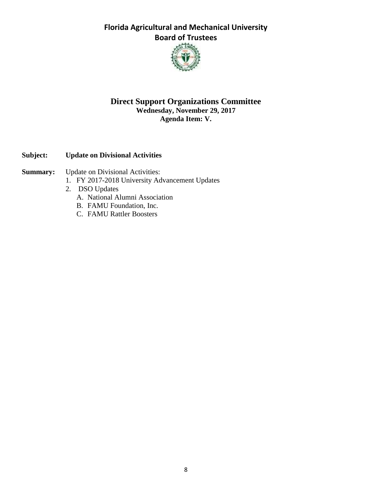

#### **Direct Support Organizations Committee Wednesday, November 29, 2017 Agenda Item: V.**

#### **Subject: Update on Divisional Activities**

- **Summary:** Update on Divisional Activities:
	- 1. FY 2017-2018 University Advancement Updates
	- 2. DSO Updates
		- A. National Alumni Association
		- B. FAMU Foundation, Inc.
		- C. FAMU Rattler Boosters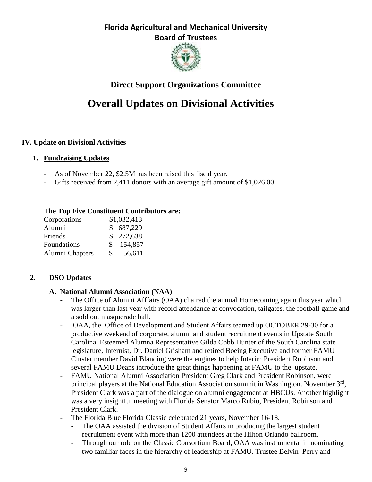

## **Direct Support Organizations Committee**

# **Overall Updates on Divisional Activities**

#### **IV. Update on Divisionl Activities**

#### **1. Fundraising Updates**

- As of November 22, \$2.5M has been raised this fiscal year.
- Gifts received from 2,411 donors with an average gift amount of \$1,026.00.

#### **The Top Five Constituent Contributors are:**

| Corporations    |     | \$1,032,413 |
|-----------------|-----|-------------|
| Alumni          |     | \$687,229   |
| Friends         |     | \$272,638   |
| Foundations     | S.  | 154,857     |
| Alumni Chapters | \$. | 56,611      |

#### **2. DSO Updates**

#### **A. National Alumni Association (NAA)**

- The Office of Alumni Afffairs (OAA) chaired the annual Homecoming again this year which was larger than last year with record attendance at convocation, tailgates, the football game and a sold out masquerade ball.
- OAA, the Office of Development and Student Affairs teamed up OCTOBER 29-30 for a productive weekend of corporate, alumni and student recruitment events in Upstate South Carolina. Esteemed Alumna Representative Gilda Cobb Hunter of the South Carolina state legislature, Internist, Dr. Daniel Grisham and retired Boeing Executive and former FAMU Cluster member David Blanding were the engines to help Interim President Robinson and several FAMU Deans introduce the great things happening at FAMU to the upstate.
- FAMU National Alumni Association President Greg Clark and President Robinson, were principal players at the National Education Association summit in Washington. November 3<sup>rd</sup>, President Clark was a part of the dialogue on alumni engagement at HBCUs. Another highlight was a very insightful meeting with Florida Senator Marco Rubio, President Robinson and President Clark.
- The Florida Blue Florida Classic celebrated 21 years, November 16-18.
	- The OAA assisted the division of Student Affairs in producing the largest student recruitment event with more than 1200 attendees at the Hilton Orlando ballroom.
	- Through our role on the Classic Consortium Board, OAA was instrumental in nominating two familiar faces in the hierarchy of leadership at FAMU. Trustee Belvin Perry and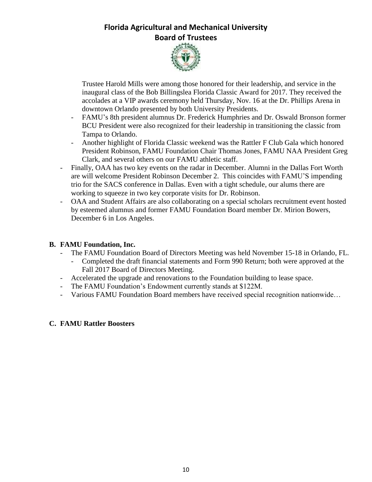

Trustee Harold Mills were among those honored for their leadership, and service in the inaugural class of the Bob Billingslea Florida Classic Award for 2017. They received the accolades at a VIP awards ceremony held Thursday, Nov. 16 at the Dr. Phillips Arena in downtown Orlando presented by both University Presidents.

- FAMU's 8th president alumnus Dr. Frederick Humphries and Dr. Oswald Bronson former BCU President were also recognized for their leadership in transitioning the classic from Tampa to Orlando.
- Another highlight of Florida Classic weekend was the Rattler F Club Gala which honored President Robinson, FAMU Foundation Chair Thomas Jones, FAMU NAA President Greg Clark, and several others on our FAMU athletic staff.
- Finally, OAA has two key events on the radar in December. Alumni in the Dallas Fort Worth are will welcome President Robinson December 2. This coincides with FAMU'S impending trio for the SACS conference in Dallas. Even with a tight schedule, our alums there are working to squeeze in two key corporate visits for Dr. Robinson.
- OAA and Student Affairs are also collaborating on a special scholars recruitment event hosted by esteemed alumnus and former FAMU Foundation Board member Dr. Mirion Bowers, December 6 in Los Angeles.

#### **B. FAMU Foundation, Inc.**

- The FAMU Foundation Board of Directors Meeting was held November 15-18 in Orlando, FL.
	- Completed the draft financial statements and Form 990 Return; both were approved at the Fall 2017 Board of Directors Meeting.
- Accelerated the upgrade and renovations to the Foundation building to lease space.
- The FAMU Foundation's Endowment currently stands at \$122M.
- Various FAMU Foundation Board members have received special recognition nationwide…

#### **C. FAMU Rattler Boosters**